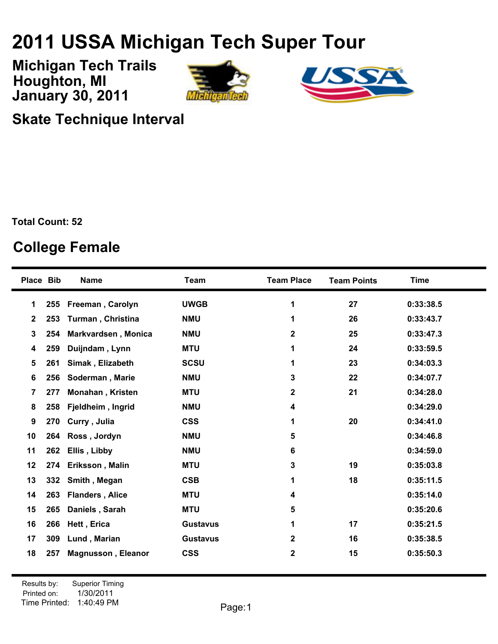## **USSA Michigan Tech Super Tour**

**January 30, 2011 Michigan Tech Trails Houghton, MI**





**Skate Technique Interval**

**Total Count: 52**

## **College Female**

| <b>Place Bib</b> |     | <b>Name</b>               | <b>Team</b>     | <b>Team Place</b> | <b>Team Points</b> | <b>Time</b> |
|------------------|-----|---------------------------|-----------------|-------------------|--------------------|-------------|
| 1                | 255 | Freeman, Carolyn          | <b>UWGB</b>     | 1                 | 27                 | 0:33:38.5   |
| $\mathbf{2}$     | 253 | Turman, Christina         | <b>NMU</b>      | 1                 | 26                 | 0:33:43.7   |
| 3                | 254 | Markvardsen, Monica       | <b>NMU</b>      | 2                 | 25                 | 0:33:47.3   |
| 4                | 259 | Duijndam, Lynn            | <b>MTU</b>      | 1                 | 24                 | 0:33:59.5   |
| 5                | 261 | Simak, Elizabeth          | <b>SCSU</b>     | 1                 | 23                 | 0:34:03.3   |
| 6                | 256 | Soderman, Marie           | <b>NMU</b>      | 3                 | 22                 | 0:34:07.7   |
| $\overline{7}$   | 277 | Monahan, Kristen          | <b>MTU</b>      | $\mathbf{2}$      | 21                 | 0:34:28.0   |
| 8                | 258 | Fjeldheim, Ingrid         | <b>NMU</b>      | 4                 |                    | 0:34:29.0   |
| 9                | 270 | Curry, Julia              | <b>CSS</b>      | 1                 | 20                 | 0:34:41.0   |
| 10               | 264 | Ross, Jordyn              | <b>NMU</b>      | 5                 |                    | 0:34:46.8   |
| 11               | 262 | Ellis, Libby              | <b>NMU</b>      | 6                 |                    | 0:34:59.0   |
| 12               | 274 | Eriksson, Malin           | <b>MTU</b>      | 3                 | 19                 | 0:35:03.8   |
| 13               | 332 | Smith, Megan              | <b>CSB</b>      | 1                 | 18                 | 0:35:11.5   |
| 14               | 263 | <b>Flanders, Alice</b>    | <b>MTU</b>      | 4                 |                    | 0:35:14.0   |
| 15               | 265 | Daniels, Sarah            | <b>MTU</b>      | 5                 |                    | 0:35:20.6   |
| 16               | 266 | Hett, Erica               | <b>Gustavus</b> | 1                 | 17                 | 0:35:21.5   |
| 17               | 309 | Lund, Marian              | <b>Gustavus</b> | $\mathbf 2$       | 16                 | 0:35:38.5   |
| 18               | 257 | <b>Magnusson, Eleanor</b> | <b>CSS</b>      | 2                 | 15                 | 0:35:50.3   |
|                  |     |                           |                 |                   |                    |             |

Printed on: Time Printed: 1:40:49 PMResults by: Superior Timing 1/30/2011